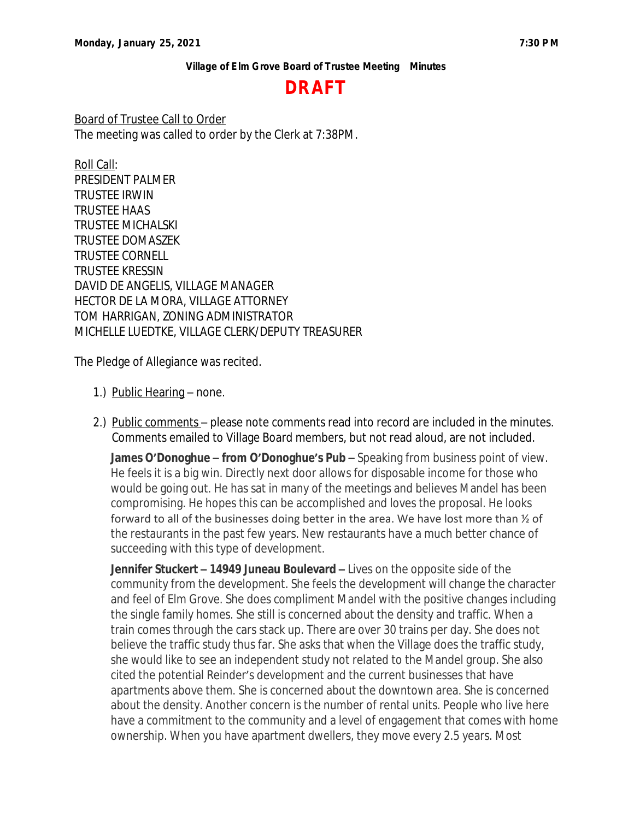# **DRAFT**

Board of Trustee Call to Order The meeting was called to order by the Clerk at 7:38PM.

Roll Call: PRESIDENT PALMER TRUSTEE IRWIN TRUSTEE HAAS TRUSTEE MICHALSKI TRUSTEE DOMASZEK TRUSTEE CORNELL TRUSTEE KRESSIN DAVID DE ANGELIS, VILLAGE MANAGER HECTOR DE LA MORA, VILLAGE ATTORNEY TOM HARRIGAN, ZONING ADMINISTRATOR MICHELLE LUEDTKE, VILLAGE CLERK/DEPUTY TREASURER

The Pledge of Allegiance was recited.

- 1.) Public Hearing none.
- 2.) Public comments please note comments read into record are included in the minutes. Comments emailed to Village Board members, but not read aloud, are not included.

**James O'Donoghue – from O'Donoghue's Pub –** Speaking from business point of view. He feels it is a big win. Directly next door allows for disposable income for those who would be going out. He has sat in many of the meetings and believes Mandel has been compromising. He hopes this can be accomplished and loves the proposal. He looks forward to all of the businesses doing better in the area. We have lost more than  $\frac{1}{2}$  of the restaurants in the past few years. New restaurants have a much better chance of succeeding with this type of development.

**Jennifer Stuckert – 14949 Juneau Boulevard –** Lives on the opposite side of the community from the development. She feels the development will change the character and feel of Elm Grove. She does compliment Mandel with the positive changes including the single family homes. She still is concerned about the density and traffic. When a train comes through the cars stack up. There are over 30 trains per day. She does not believe the traffic study thus far. She asks that when the Village does the traffic study, she would like to see an independent study not related to the Mandel group. She also cited the potential Reinder's development and the current businesses that have apartments above them. She is concerned about the downtown area. She is concerned about the density. Another concern is the number of rental units. People who live here have a commitment to the community and a level of engagement that comes with home ownership. When you have apartment dwellers, they move every 2.5 years. Most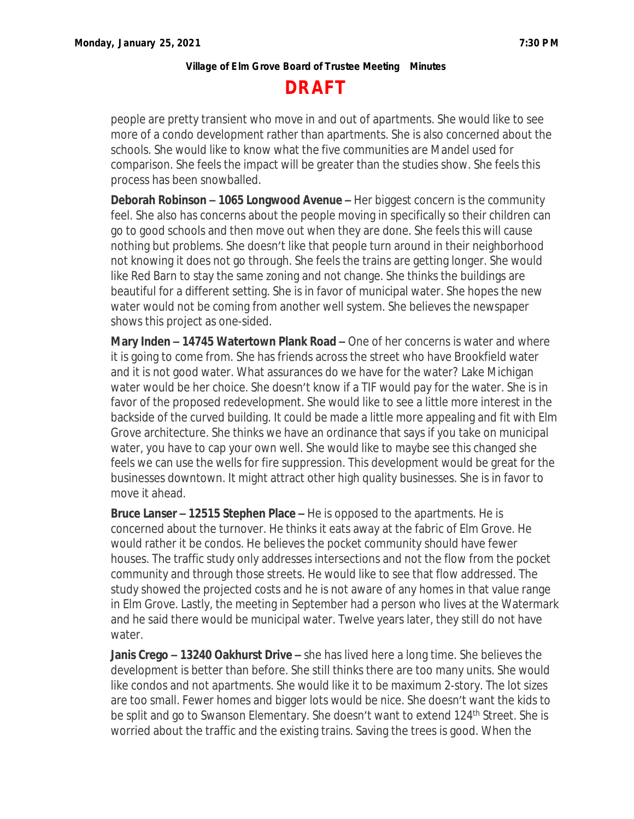# **DRAFT**

people are pretty transient who move in and out of apartments. She would like to see more of a condo development rather than apartments. She is also concerned about the schools. She would like to know what the five communities are Mandel used for comparison. She feels the impact will be greater than the studies show. She feels this process has been snowballed.

**Deborah Robinson – 1065 Longwood Avenue –** Her biggest concern is the community feel. She also has concerns about the people moving in specifically so their children can go to good schools and then move out when they are done. She feels this will cause nothing but problems. She doesn't like that people turn around in their neighborhood not knowing it does not go through. She feels the trains are getting longer. She would like Red Barn to stay the same zoning and not change. She thinks the buildings are beautiful for a different setting. She is in favor of municipal water. She hopes the new water would not be coming from another well system. She believes the newspaper shows this project as one-sided.

**Mary Inden – 14745 Watertown Plank Road –** One of her concerns is water and where it is going to come from. She has friends across the street who have Brookfield water and it is not good water. What assurances do we have for the water? Lake Michigan water would be her choice. She doesn't know if a TIF would pay for the water. She is in favor of the proposed redevelopment. She would like to see a little more interest in the backside of the curved building. It could be made a little more appealing and fit with Elm Grove architecture. She thinks we have an ordinance that says if you take on municipal water, you have to cap your own well. She would like to maybe see this changed she feels we can use the wells for fire suppression. This development would be great for the businesses downtown. It might attract other high quality businesses. She is in favor to move it ahead.

**Bruce Lanser – 12515 Stephen Place –** He is opposed to the apartments. He is concerned about the turnover. He thinks it eats away at the fabric of Elm Grove. He would rather it be condos. He believes the pocket community should have fewer houses. The traffic study only addresses intersections and not the flow from the pocket community and through those streets. He would like to see that flow addressed. The study showed the projected costs and he is not aware of any homes in that value range in Elm Grove. Lastly, the meeting in September had a person who lives at the Watermark and he said there would be municipal water. Twelve years later, they still do not have water.

**Janis Crego – 13240 Oakhurst Drive –** she has lived here a long time. She believes the development is better than before. She still thinks there are too many units. She would like condos and not apartments. She would like it to be maximum 2-story. The lot sizes are too small. Fewer homes and bigger lots would be nice. She doesn't want the kids to be split and go to Swanson Elementary. She doesn't want to extend 124<sup>th</sup> Street. She is worried about the traffic and the existing trains. Saving the trees is good. When the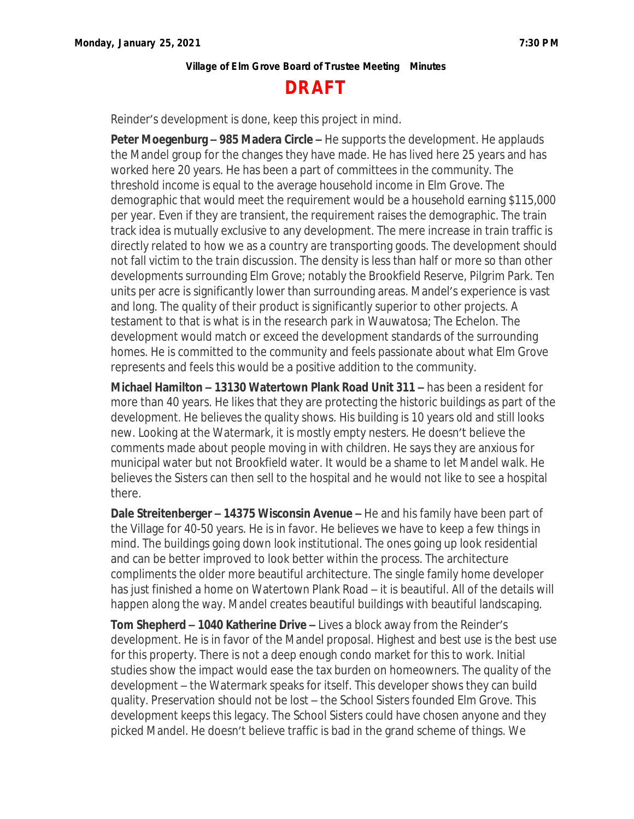# **DRAFT**

Reinder's development is done, keep this project in mind.

**Peter Moegenburg – 985 Madera Circle –** He supports the development. He applauds the Mandel group for the changes they have made. He has lived here 25 years and has worked here 20 years. He has been a part of committees in the community. The threshold income is equal to the average household income in Elm Grove. The demographic that would meet the requirement would be a household earning \$115,000 per year. Even if they are transient, the requirement raises the demographic. The train track idea is mutually exclusive to any development. The mere increase in train traffic is directly related to how we as a country are transporting goods. The development should not fall victim to the train discussion. The density is less than half or more so than other developments surrounding Elm Grove; notably the Brookfield Reserve, Pilgrim Park. Ten units per acre is significantly lower than surrounding areas. Mandel's experience is vast and long. The quality of their product is significantly superior to other projects. A testament to that is what is in the research park in Wauwatosa; The Echelon. The development would match or exceed the development standards of the surrounding homes. He is committed to the community and feels passionate about what Elm Grove represents and feels this would be a positive addition to the community.

**Michael Hamilton – 13130 Watertown Plank Road Unit 311 –** has been a resident for more than 40 years. He likes that they are protecting the historic buildings as part of the development. He believes the quality shows. His building is 10 years old and still looks new. Looking at the Watermark, it is mostly empty nesters. He doesn't believe the comments made about people moving in with children. He says they are anxious for municipal water but not Brookfield water. It would be a shame to let Mandel walk. He believes the Sisters can then sell to the hospital and he would not like to see a hospital there.

**Dale Streitenberger – 14375 Wisconsin Avenue –** He and his family have been part of the Village for 40-50 years. He is in favor. He believes we have to keep a few things in mind. The buildings going down look institutional. The ones going up look residential and can be better improved to look better within the process. The architecture compliments the older more beautiful architecture. The single family home developer has just finished a home on Watertown Plank Road – it is beautiful. All of the details will happen along the way. Mandel creates beautiful buildings with beautiful landscaping.

**Tom Shepherd – 1040 Katherine Drive –** Lives a block away from the Reinder's development. He is in favor of the Mandel proposal. Highest and best use is the best use for this property. There is not a deep enough condo market for this to work. Initial studies show the impact would ease the tax burden on homeowners. The quality of the development – the Watermark speaks for itself. This developer shows they can build quality. Preservation should not be lost – the School Sisters founded Elm Grove. This development keeps this legacy. The School Sisters could have chosen anyone and they picked Mandel. He doesn't believe traffic is bad in the grand scheme of things. We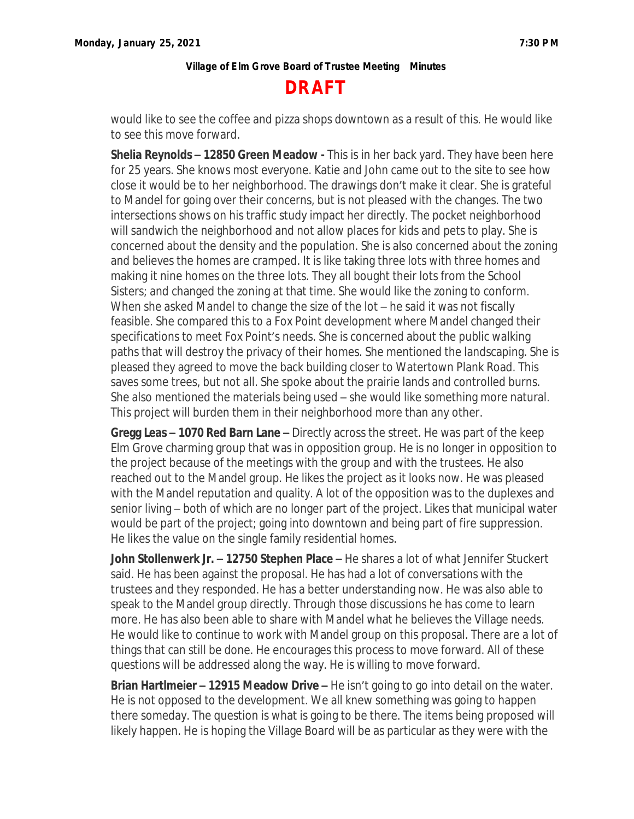

would like to see the coffee and pizza shops downtown as a result of this. He would like to see this move forward.

**Shelia Reynolds – 12850 Green Meadow -** This is in her back yard. They have been here for 25 years. She knows most everyone. Katie and John came out to the site to see how close it would be to her neighborhood. The drawings don't make it clear. She is grateful to Mandel for going over their concerns, but is not pleased with the changes. The two intersections shows on his traffic study impact her directly. The pocket neighborhood will sandwich the neighborhood and not allow places for kids and pets to play. She is concerned about the density and the population. She is also concerned about the zoning and believes the homes are cramped. It is like taking three lots with three homes and making it nine homes on the three lots. They all bought their lots from the School Sisters; and changed the zoning at that time. She would like the zoning to conform. When she asked Mandel to change the size of the lot – he said it was not fiscally feasible. She compared this to a Fox Point development where Mandel changed their specifications to meet Fox Point's needs. She is concerned about the public walking paths that will destroy the privacy of their homes. She mentioned the landscaping. She is pleased they agreed to move the back building closer to Watertown Plank Road. This saves some trees, but not all. She spoke about the prairie lands and controlled burns. She also mentioned the materials being used – she would like something more natural. This project will burden them in their neighborhood more than any other.

**Gregg Leas – 1070 Red Barn Lane –** Directly across the street. He was part of the keep Elm Grove charming group that was in opposition group. He is no longer in opposition to the project because of the meetings with the group and with the trustees. He also reached out to the Mandel group. He likes the project as it looks now. He was pleased with the Mandel reputation and quality. A lot of the opposition was to the duplexes and senior living – both of which are no longer part of the project. Likes that municipal water would be part of the project; going into downtown and being part of fire suppression. He likes the value on the single family residential homes.

**John Stollenwerk Jr. – 12750 Stephen Place –** He shares a lot of what Jennifer Stuckert said. He has been against the proposal. He has had a lot of conversations with the trustees and they responded. He has a better understanding now. He was also able to speak to the Mandel group directly. Through those discussions he has come to learn more. He has also been able to share with Mandel what he believes the Village needs. He would like to continue to work with Mandel group on this proposal. There are a lot of things that can still be done. He encourages this process to move forward. All of these questions will be addressed along the way. He is willing to move forward.

**Brian Hartlmeier – 12915 Meadow Drive –** He isn't going to go into detail on the water. He is not opposed to the development. We all knew something was going to happen there someday. The question is what is going to be there. The items being proposed will likely happen. He is hoping the Village Board will be as particular as they were with the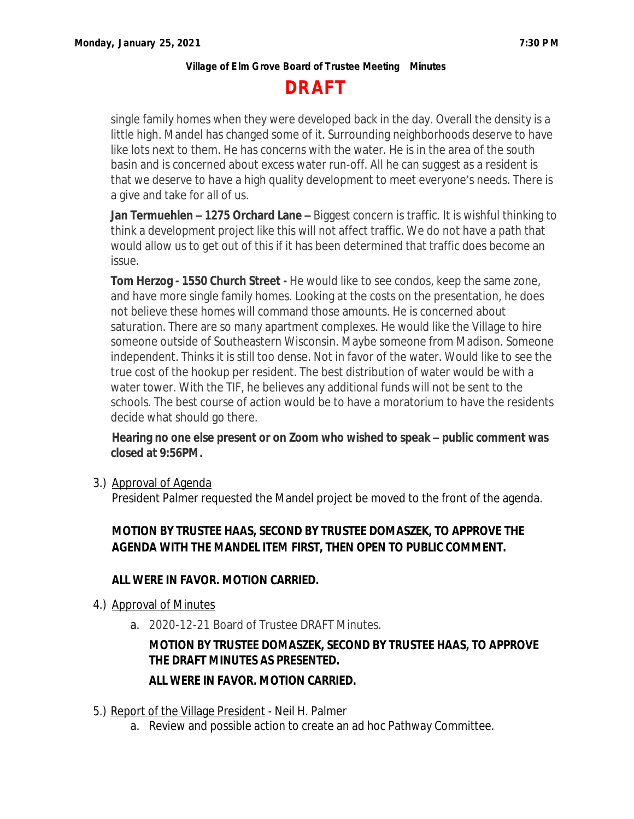# **DRAFT**

single family homes when they were developed back in the day. Overall the density is a little high. Mandel has changed some of it. Surrounding neighborhoods deserve to have like lots next to them. He has concerns with the water. He is in the area of the south basin and is concerned about excess water run-off. All he can suggest as a resident is that we deserve to have a high quality development to meet everyone's needs. There is a give and take for all of us.

**Jan Termuehlen – 1275 Orchard Lane –** Biggest concern is traffic. It is wishful thinking to think a development project like this will not affect traffic. We do not have a path that would allow us to get out of this if it has been determined that traffic does become an issue.

**Tom Herzog - 1550 Church Street -** He would like to see condos, keep the same zone, and have more single family homes. Looking at the costs on the presentation, he does not believe these homes will command those amounts. He is concerned about saturation. There are so many apartment complexes. He would like the Village to hire someone outside of Southeastern Wisconsin. Maybe someone from Madison. Someone independent. Thinks it is still too dense. Not in favor of the water. Would like to see the true cost of the hookup per resident. The best distribution of water would be with a water tower. With the TIF, he believes any additional funds will not be sent to the schools. The best course of action would be to have a moratorium to have the residents decide what should go there.

## **Hearing no one else present or on Zoom who wished to speak – public comment was closed at 9:56PM.**

3.) Approval of Agenda

President Palmer requested the Mandel project be moved to the front of the agenda.

## **MOTION BY TRUSTEE HAAS, SECOND BY TRUSTEE DOMASZEK, TO APPROVE THE AGENDA WITH THE MANDEL ITEM FIRST, THEN OPEN TO PUBLIC COMMENT.**

## **ALL WERE IN FAVOR. MOTION CARRIED.**

- 4.) Approval of Minutes
	- a. 2020-12-21 Board of Trustee DRAFT Minutes.

## **MOTION BY TRUSTEE DOMASZEK, SECOND BY TRUSTEE HAAS, TO APPROVE THE DRAFT MINUTES AS PRESENTED.**

## **ALL WERE IN FAVOR. MOTION CARRIED.**

- 5.) Report of the Village President Neil H. Palmer
	- a. Review and possible action to create an ad hoc Pathway Committee.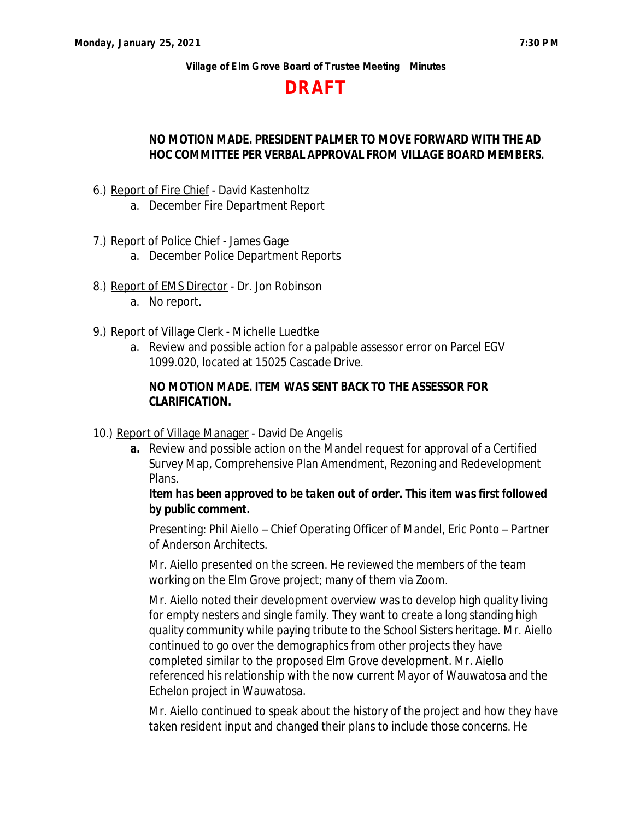## **DRAFT**

## **NO MOTION MADE. PRESIDENT PALMER TO MOVE FORWARD WITH THE AD HOC COMMITTEE PER VERBAL APPROVAL FROM VILLAGE BOARD MEMBERS.**

- 6.) Report of Fire Chief David Kastenholtz
	- a. December Fire Department Report
- 7.) Report of Police Chief James Gage
	- a. December Police Department Reports
- 8.) Report of EMS Director Dr. Jon Robinson
	- a. No report.
- 9.) Report of Village Clerk Michelle Luedtke
	- a. Review and possible action for a palpable assessor error on Parcel EGV 1099.020, located at 15025 Cascade Drive.

## **NO MOTION MADE. ITEM WAS SENT BACK TO THE ASSESSOR FOR CLARIFICATION.**

- 10.) Report of Village Manager David De Angelis
	- **a.** Review and possible action on the Mandel request for approval of a Certified Survey Map, Comprehensive Plan Amendment, Rezoning and Redevelopment Plans.

## *Item has been approved to be taken out of order. This item was first followed by public comment.*

Presenting: Phil Aiello – Chief Operating Officer of Mandel, Eric Ponto – Partner of Anderson Architects.

Mr. Aiello presented on the screen. He reviewed the members of the team working on the Elm Grove project; many of them via Zoom.

Mr. Aiello noted their development overview was to develop high quality living for empty nesters and single family. They want to create a long standing high quality community while paying tribute to the School Sisters heritage. Mr. Aiello continued to go over the demographics from other projects they have completed similar to the proposed Elm Grove development. Mr. Aiello referenced his relationship with the now current Mayor of Wauwatosa and the Echelon project in Wauwatosa.

Mr. Aiello continued to speak about the history of the project and how they have taken resident input and changed their plans to include those concerns. He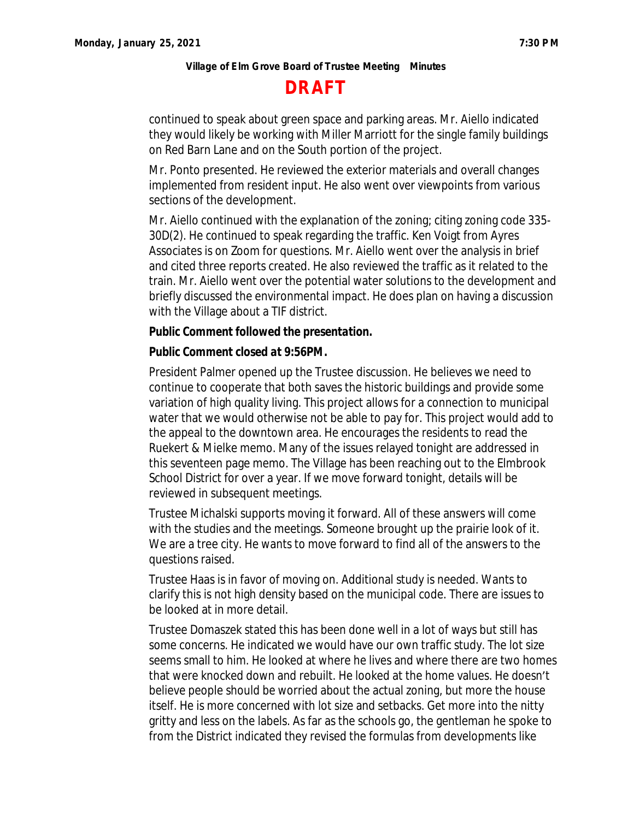# **DRAFT**

continued to speak about green space and parking areas. Mr. Aiello indicated they would likely be working with Miller Marriott for the single family buildings on Red Barn Lane and on the South portion of the project.

Mr. Ponto presented. He reviewed the exterior materials and overall changes implemented from resident input. He also went over viewpoints from various sections of the development.

Mr. Aiello continued with the explanation of the zoning; citing zoning code 335- 30D(2). He continued to speak regarding the traffic. Ken Voigt from Ayres Associates is on Zoom for questions. Mr. Aiello went over the analysis in brief and cited three reports created. He also reviewed the traffic as it related to the train. Mr. Aiello went over the potential water solutions to the development and briefly discussed the environmental impact. He does plan on having a discussion with the Village about a TIF district.

### *Public Comment followed the presentation.*

### *Public Comment closed at 9:56PM.*

President Palmer opened up the Trustee discussion. He believes we need to continue to cooperate that both saves the historic buildings and provide some variation of high quality living. This project allows for a connection to municipal water that we would otherwise not be able to pay for. This project would add to the appeal to the downtown area. He encourages the residents to read the Ruekert & Mielke memo. Many of the issues relayed tonight are addressed in this seventeen page memo. The Village has been reaching out to the Elmbrook School District for over a year. If we move forward tonight, details will be reviewed in subsequent meetings.

Trustee Michalski supports moving it forward. All of these answers will come with the studies and the meetings. Someone brought up the prairie look of it. We are a tree city. He wants to move forward to find all of the answers to the questions raised.

Trustee Haas is in favor of moving on. Additional study is needed. Wants to clarify this is not high density based on the municipal code. There are issues to be looked at in more detail.

Trustee Domaszek stated this has been done well in a lot of ways but still has some concerns. He indicated we would have our own traffic study. The lot size seems small to him. He looked at where he lives and where there are two homes that were knocked down and rebuilt. He looked at the home values. He doesn't believe people should be worried about the actual zoning, but more the house itself. He is more concerned with lot size and setbacks. Get more into the nitty gritty and less on the labels. As far as the schools go, the gentleman he spoke to from the District indicated they revised the formulas from developments like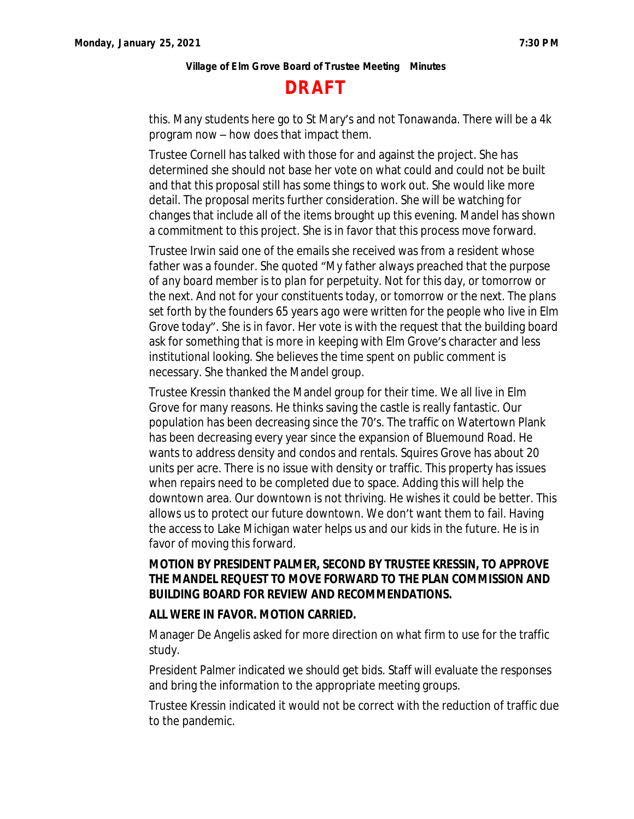# **DRAFT**

this. Many students here go to St Mary's and not Tonawanda. There will be a 4k program now – how does that impact them.

Trustee Cornell has talked with those for and against the project. She has determined she should not base her vote on what could and could not be built and that this proposal still has some things to work out. She would like more detail. The proposal merits further consideration. She will be watching for changes that include all of the items brought up this evening. Mandel has shown a commitment to this project. She is in favor that this process move forward.

Trustee Irwin said one of the emails she received was from a resident whose father was a founder. She quoted "*My father always preached that the purpose of any board member is to plan for perpetuity. Not for this day, or tomorrow or the next. And not for your constituents today, or tomorrow or the next. The plans set forth by the founders 65 years ago were written for the people who live in Elm Grove today*". She is in favor. Her vote is with the request that the building board ask for something that is more in keeping with Elm Grove's character and less institutional looking. She believes the time spent on public comment is necessary. She thanked the Mandel group.

Trustee Kressin thanked the Mandel group for their time. We all live in Elm Grove for many reasons. He thinks saving the castle is really fantastic. Our population has been decreasing since the 70's. The traffic on Watertown Plank has been decreasing every year since the expansion of Bluemound Road. He wants to address density and condos and rentals. Squires Grove has about 20 units per acre. There is no issue with density or traffic. This property has issues when repairs need to be completed due to space. Adding this will help the downtown area. Our downtown is not thriving. He wishes it could be better. This allows us to protect our future downtown. We don't want them to fail. Having the access to Lake Michigan water helps us and our kids in the future. He is in favor of moving this forward.

## **MOTION BY PRESIDENT PALMER, SECOND BY TRUSTEE KRESSIN, TO APPROVE THE MANDEL REQUEST TO MOVE FORWARD TO THE PLAN COMMISSION AND BUILDING BOARD FOR REVIEW AND RECOMMENDATIONS.**

### **ALL WERE IN FAVOR. MOTION CARRIED.**

Manager De Angelis asked for more direction on what firm to use for the traffic study.

President Palmer indicated we should get bids. Staff will evaluate the responses and bring the information to the appropriate meeting groups.

Trustee Kressin indicated it would not be correct with the reduction of traffic due to the pandemic.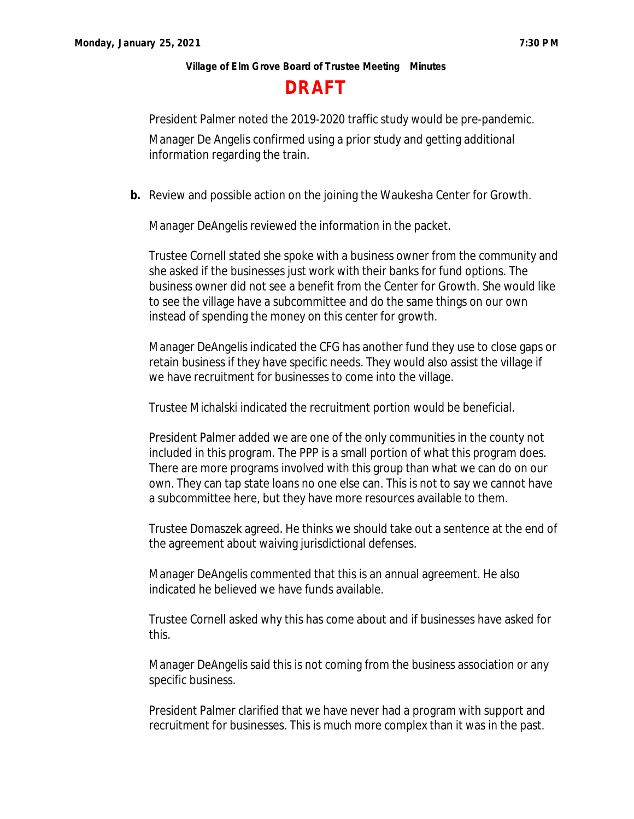## **DRAFT**

President Palmer noted the 2019-2020 traffic study would be pre-pandemic.

Manager De Angelis confirmed using a prior study and getting additional information regarding the train.

**b.** Review and possible action on the joining the Waukesha Center for Growth.

Manager DeAngelis reviewed the information in the packet.

Trustee Cornell stated she spoke with a business owner from the community and she asked if the businesses just work with their banks for fund options. The business owner did not see a benefit from the Center for Growth. She would like to see the village have a subcommittee and do the same things on our own instead of spending the money on this center for growth.

Manager DeAngelis indicated the CFG has another fund they use to close gaps or retain business if they have specific needs. They would also assist the village if we have recruitment for businesses to come into the village.

Trustee Michalski indicated the recruitment portion would be beneficial.

President Palmer added we are one of the only communities in the county not included in this program. The PPP is a small portion of what this program does. There are more programs involved with this group than what we can do on our own. They can tap state loans no one else can. This is not to say we cannot have a subcommittee here, but they have more resources available to them.

Trustee Domaszek agreed. He thinks we should take out a sentence at the end of the agreement about waiving jurisdictional defenses.

Manager DeAngelis commented that this is an annual agreement. He also indicated he believed we have funds available.

Trustee Cornell asked why this has come about and if businesses have asked for this.

Manager DeAngelis said this is not coming from the business association or any specific business.

President Palmer clarified that we have never had a program with support and recruitment for businesses. This is much more complex than it was in the past.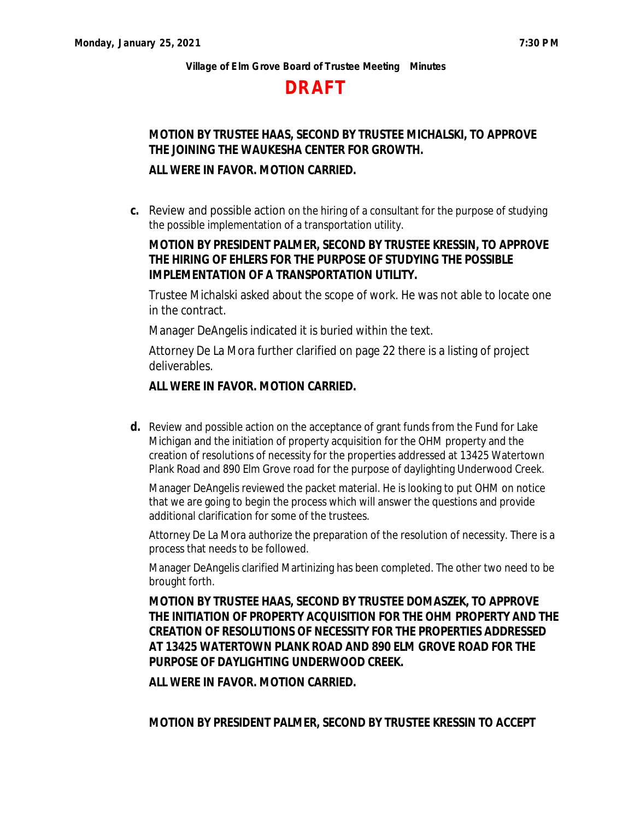# **DRAFT**

# **MOTION BY TRUSTEE HAAS, SECOND BY TRUSTEE MICHALSKI, TO APPROVE THE JOINING THE WAUKESHA CENTER FOR GROWTH.**

## **ALL WERE IN FAVOR. MOTION CARRIED.**

**c.** Review and possible action on the hiring of a consultant for the purpose of studying the possible implementation of a transportation utility.

## **MOTION BY PRESIDENT PALMER, SECOND BY TRUSTEE KRESSIN, TO APPROVE THE HIRING OF EHLERS FOR THE PURPOSE OF STUDYING THE POSSIBLE IMPLEMENTATION OF A TRANSPORTATION UTILITY.**

Trustee Michalski asked about the scope of work. He was not able to locate one in the contract.

Manager DeAngelis indicated it is buried within the text.

Attorney De La Mora further clarified on page 22 there is a listing of project deliverables.

### **ALL WERE IN FAVOR. MOTION CARRIED.**

**d.** Review and possible action on the acceptance of grant funds from the Fund for Lake Michigan and the initiation of property acquisition for the OHM property and the creation of resolutions of necessity for the properties addressed at 13425 Watertown Plank Road and 890 Elm Grove road for the purpose of daylighting Underwood Creek.

Manager DeAngelis reviewed the packet material. He is looking to put OHM on notice that we are going to begin the process which will answer the questions and provide additional clarification for some of the trustees.

Attorney De La Mora authorize the preparation of the resolution of necessity. There is a process that needs to be followed.

Manager DeAngelis clarified Martinizing has been completed. The other two need to be brought forth.

**MOTION BY TRUSTEE HAAS, SECOND BY TRUSTEE DOMASZEK, TO APPROVE THE INITIATION OF PROPERTY ACQUISITION FOR THE OHM PROPERTY AND THE CREATION OF RESOLUTIONS OF NECESSITY FOR THE PROPERTIES ADDRESSED AT 13425 WATERTOWN PLANK ROAD AND 890 ELM GROVE ROAD FOR THE PURPOSE OF DAYLIGHTING UNDERWOOD CREEK.**

**ALL WERE IN FAVOR. MOTION CARRIED.**

**MOTION BY PRESIDENT PALMER, SECOND BY TRUSTEE KRESSIN TO ACCEPT**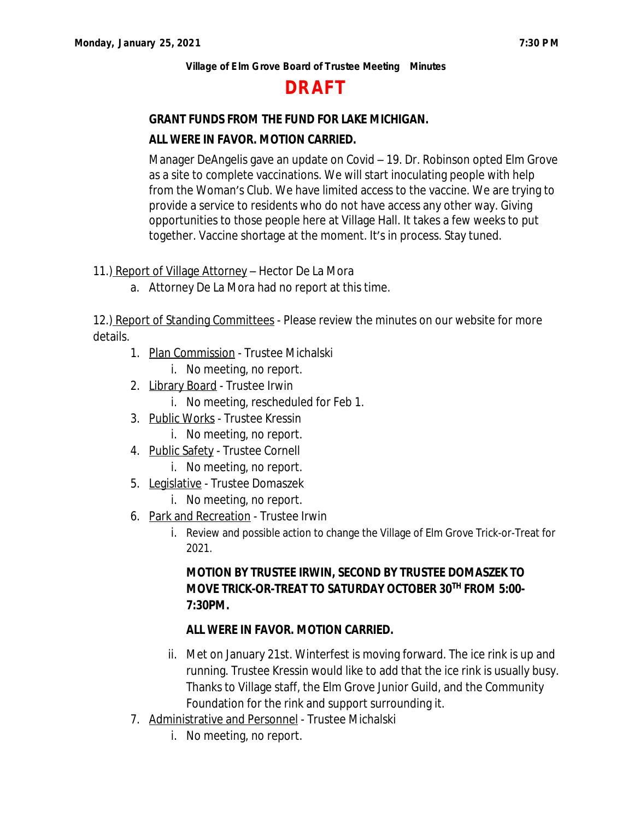# **DRAFT**

## **GRANT FUNDS FROM THE FUND FOR LAKE MICHIGAN.**

## **ALL WERE IN FAVOR. MOTION CARRIED.**

Manager DeAngelis gave an update on Covid – 19. Dr. Robinson opted Elm Grove as a site to complete vaccinations. We will start inoculating people with help from the Woman's Club. We have limited access to the vaccine. We are trying to provide a service to residents who do not have access any other way. Giving opportunities to those people here at Village Hall. It takes a few weeks to put together. Vaccine shortage at the moment. It's in process. Stay tuned.

11.) Report of Village Attorney - Hector De La Mora

a. Attorney De La Mora had no report at this time.

12.) Report of Standing Committees - Please review the minutes on our website for more details.

- 1. Plan Commission Trustee Michalski
	- i. No meeting, no report.
- 2. Library Board Trustee Irwin
	- i. No meeting, rescheduled for Feb 1.
- 3. Public Works Trustee Kressin
	- i. No meeting, no report.
- 4. Public Safety Trustee Cornell
	- i. No meeting, no report.
- 5. Legislative Trustee Domaszek
	- i. No meeting, no report.
- 6. Park and Recreation Trustee Irwin
	- i. Review and possible action to change the Village of Elm Grove Trick-or-Treat for 2021.

## **MOTION BY TRUSTEE IRWIN, SECOND BY TRUSTEE DOMASZEK TO MOVE TRICK-OR-TREAT TO SATURDAY OCTOBER 30TH FROM 5:00- 7:30PM.**

## **ALL WERE IN FAVOR. MOTION CARRIED.**

- ii. Met on January 21st. Winterfest is moving forward. The ice rink is up and running. Trustee Kressin would like to add that the ice rink is usually busy. Thanks to Village staff, the Elm Grove Junior Guild, and the Community Foundation for the rink and support surrounding it.
- 7. Administrative and Personnel Trustee Michalski
	- i. No meeting, no report.